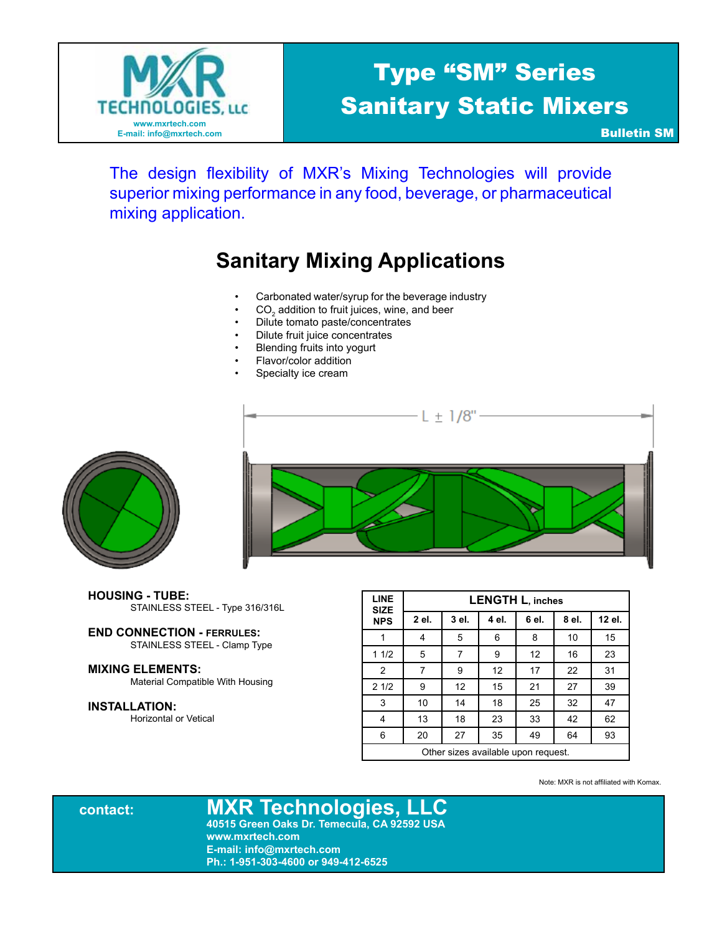

# Type "SM" Series Sanitary Static Mixers

Bulletin SM

The design flexibility of MXR's Mixing Technologies will provide superior mixing performance in any food, beverage, or pharmaceutical mixing application.

# **Sanitary Mixing Applications**

- Carbonated water/syrup for the beverage industry
- $CO<sub>2</sub>$  addition to fruit juices, wine, and beer
- Dilute tomato paste/concentrates
- Dilute fruit juice concentrates
- Blending fruits into yogurt
- Flavor/color addition
- Specialty ice cream





- **HOUSING TUBE:**  STAINLESS STEEL - Type 316/316L
- **END CONNECTION FERRULES:** STAINLESS STEEL - Clamp Type

### **MIXING ELEMENTS:**

Material Compatible With Housing

#### **INSTALLATION:**

Horizontal or Vetical

| <b>LINE</b><br><b>SIZE</b>          | <b>LENGTH L, inches</b> |       |       |       |       |        |  |
|-------------------------------------|-------------------------|-------|-------|-------|-------|--------|--|
| <b>NPS</b>                          | 2 el.                   | 3 el. | 4 el. | 6 el. | 8 el. | 12 el. |  |
|                                     | 4                       | 5     | 6     | 8     | 10    | 15     |  |
| 11/2                                | 5                       | 7     | 9     | 12    | 16    | 23     |  |
| $\overline{2}$                      | 7                       | 9     | 12    | 17    | 22    | 31     |  |
| 21/2                                | 9                       | 12    | 15    | 21    | 27    | 39     |  |
| 3                                   | 10                      | 14    | 18    | 25    | 32    | 47     |  |
| 4                                   | 13                      | 18    | 23    | 33    | 42    | 62     |  |
| 6                                   | 20                      | 27    | 35    | 49    | 64    | 93     |  |
| Other sizes available upon request. |                         |       |       |       |       |        |  |

Note: MXR is not affiliated with Komax.

**contact: MXR Technologies, LLC 40515 Green Oaks Dr. Temecula, CA 92592 USA www.mxrtech.com E-mail: info@mxrtech.com Ph.: 1-951-303-4600 or 949-412-6525**